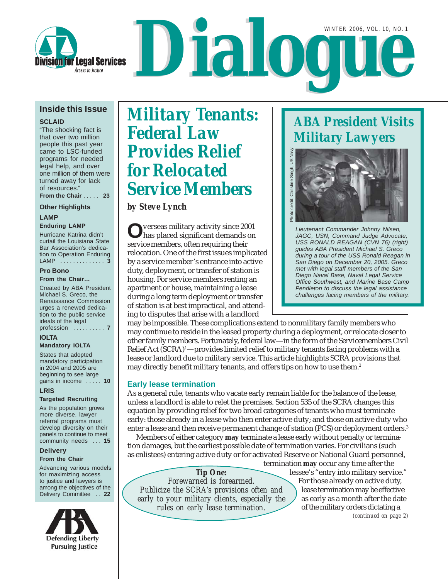

### **Inside this Issue**

**SCLAID**

"The shocking fact is that over two million people this past year came to LSC-funded programs for needed legal help, and over one million of them were turned away for lack of resources." **From the Chair** . . . . . **23**

### **Other Highlights**

### **LAMP**

**Enduring LAMP** Hurricane Katrina didn't curtail the Louisiana State Bar Association's dedication to Operation Enduring LAMP . . . . . . . . . . . . . . **3**

### **Pro Bono**

#### **From the Chair…**

Created by ABA President Michael S. Greco, the Renaissance Commission urges a renewed dedication to the public service ideals of the legal profession . . . . . . . . . . **7**

### **IOLTA**

**Mandatory IOLTA** States that adopted

mandatory participation in 2004 and 2005 are beginning to see large gains in income . . . . . **10**

### **LRIS**

### **Targeted Recruiting**

As the population grows more diverse, lawyer referral programs must develop diversity on their panels to continue to meet community needs . . . **15**

### **Delivery**

### **From the Chair**

Advancing various models for maximizing access to justice and lawyers is among the objectives of the Delivery Committee . . **22**



# *Military Tenants: Federal Law Provides Relief for Relocated Service Members*

*by Steve Lynch*

**O**verseas military activity since 2001 has placed significant demands on service members, often requiring their relocation. One of the first issues implicated by a service member's entrance into active duty, deployment, or transfer of station is housing. For service members renting an apartment or house, maintaining a lease during a long term deployment or transfer of station is at best impractical, and attending to disputes that arise with a landlord

may be impossible. These complications extend to nonmilitary family members who may continue to reside in the leased property during a deployment, or relocate closer to other family members. Fortunately, federal law—in the form of the Servicemembers Civil Relief Act (SCRA)<sup>1</sup>—provides limited relief to military tenants facing problems with a lease or landlord due to military service. This article highlights SCRA provisions that may directly benefit military tenants, and offers tips on how to use them.<sup>2</sup>

### **Early lease termination**

As a general rule, tenants who vacate early remain liable for the balance of the lease, unless a landlord is able to relet the premises. Section 535 of the SCRA changes this equation by providing relief for two broad categories of tenants who must terminate early: those already in a lease who then enter active duty; and those on active duty who enter a lease and then receive permanent change of station (PCS) or deployment orders.<sup>3</sup>

Members of either category **may** terminate a lease early without penalty or termination damages, but the earliest possible date of termination varies. For civilians (such as enlistees) entering active duty or for activated Reserve or National Guard personnel,

*Tip One: Forewarned is forearmed. Publicize the SCRA's provisions often and early to your military clients, especially the rules on early lease termination.*

*(continued on page 2)* termination **may** occur any time after the lessee's "entry into military service." For those already on active duty, lease termination may be effective as early as a month after the date of the military orders dictating a

## *ABA President Visits Military Lawyers*



*Lieutenant Commander Johnny Nilsen, JAGC, USN, Command Judge Advocate, USS RONALD REAGAN (CVN 76) (right) guides ABA President Michael S. Greco during a tour of the USS Ronald Reagan in San Diego on December 20, 2005. Greco met with legal staff members of the San Diego Naval Base, Naval Legal Service Office Southwest, and Marine Base Camp Pendleton to discuss the legal assistance challenges facing members of the military.*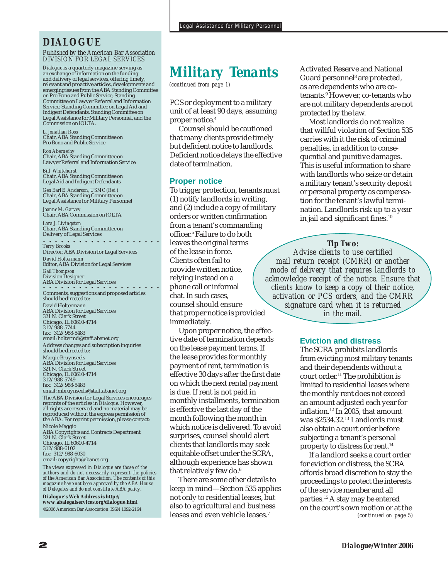### *DIALOGUE*

#### *Published by the American Bar Association DIVISION FOR LEGAL SERVICES*

*Dialogue* is a quarterly magazine serving as an exchange of information on the funding and delivery of legal services, offering timely, relevant and proactive articles, developments and emerging issues from the ABA Standing Committee on Pro Bono and Public Service, Standing Committee on Lawyer Referral and Information Service, Standing Committee on Legal Aid and Indigent Defendants, Standing Committee on Legal Assistance for Military Personnel, and the Commission on IOLTA.

*L. Jonathan Ross* Chair, ABA Standing Committee on Pro Bono and Public Service

*Ron Abernethy* Chair, ABA Standing Committee on Lawyer Referral and Information Service

*Bill Whitehurst* Chair, ABA Standing Committee on Legal Aid and Indigent Defendants

*Gen Earl E. Anderson, USMC (Ret.)* Chair, ABA Standing Committee on Legal Assistance for Military Personnel

*Joanne M. Garvey* Chair, ABA Commission on IOLTA

*Lora J. Livingston* Chair, ABA Standing Committee on Delivery of Legal Services

○○○○○ ○○○○○○○○○○○○○○○

*Terry Brooks* Director, ABA Division for Legal Services *David Holtermann* Editor, ABA Division for Legal Services *Gail Thompson* Division Designer ○○○○○ ○○○○○○○○○○○○○○○ ABA Division for Legal Services Comments, suggestions and proposed articles should be directed to: David Holtermann ABA Division for Legal Services 321 N. Clark Street Chicago, IL 60610-4714 312/988-5744 fax: 312/988-5483 email: holtermd@staff.abanet.org Address changes and subscription inquiries should be directed to: Margie Bruynseels

ABA Division for Legal Services 321 N. Clark Street Chicago, IL 60610-4714 312/988-5749 fax: 312/988-5483

email: mbruynseels@staff.abanet.org The ABA Division for Legal Services encourages reprints of the articles in *Dialogue*. However, all rights are reserved and no material may be reproduced without the express permission of the ABA. For reprint permission, please contact: Nicole Maggio ABA Copyrights and Contracts Department 321 N. Clark Street Chicago, IL 60610-4714

312/988-6102

fax: 312/988-6030

email: copyright@abanet.org

*The views expressed in Dialogue are those of the authors and do not necessarily represent the policies of the American Bar Association. The contents of this magazine have not been approved by the ABA House of Delegates and do not constitute ABA policy.*

**Dialogue's Web Address is http:// www.abalegalservices.org/dialogue.html** ©2006 American Bar Association ISSN 1092-2164

## *Military Tenants*

*(continued from page 1)*

PCS or deployment to a military unit of at least 90 days, assuming proper notice.4

Counsel should be cautioned that many clients provide timely but deficient notice to landlords. Deficient notice delays the effective date of termination.

#### **Proper notice**

To trigger protection, tenants must (1) notify landlords in writing, and (2) include a copy of military orders or written confirmation from a tenant's commanding officer.5 Failure to do both leaves the original terms of the lease in force. Clients often fail to provide written notice, relying instead on a phone call or informal chat. In such cases, counsel should ensure that proper notice is provided immediately.

Upon proper notice, the effective date of termination depends on the lease payment terms. If the lease provides for monthly payment of rent, termination is effective 30 days after the first date on which the next rental payment is due. If rent is not paid in monthly installments, termination is effective the last day of the month following the month in which notice is delivered. To avoid surprises, counsel should alert clients that landlords may seek equitable offset under the SCRA, although experience has shown that relatively few do.<sup>6</sup>

There are some other details to keep in mind—Section 535 applies not only to residential leases, but also to agricultural and business leases and even vehicle leases.7

Activated Reserve and National Guard personnel8 are protected, as are dependents who are cotenants.9 However, co-tenants who are not military dependents are not protected by the law.

Most landlords do not realize that willful violation of Section 535 carries with it the risk of criminal penalties, in addition to consequential and punitive damages. This is useful information to share with landlords who seize or detain a military tenant's security deposit or personal property as compensation for the tenant's lawful termination. Landlords risk up to a year in jail and significant fines.<sup>10</sup>

### *Tip Two:*

*Advise clients to use certified mail return receipt (CMRR) or another mode of delivery that requires landlords to acknowledge receipt of the notice. Ensure that clients know to keep a copy of their notice, activation or PCS orders, and the CMRR signature card when it is returned in the mail.*

### **Eviction and distress**

The SCRA prohibits landlords from evicting most military tenants and their dependents without a court order.11 The prohibition is limited to residential leases where the monthly rent does not exceed an amount adjusted each year for inflation.12 In 2005, that amount was \$2534.32.13 Landlords must also obtain a court order before subjecting a tenant's personal property to distress for rent.<sup>14</sup>

*(continued on page 5)* If a landlord seeks a court order for eviction or distress, the SCRA affords broad discretion to stay the proceedings to protect the interests of the service member and all parties.15 A stay may be entered on the court's own motion or at the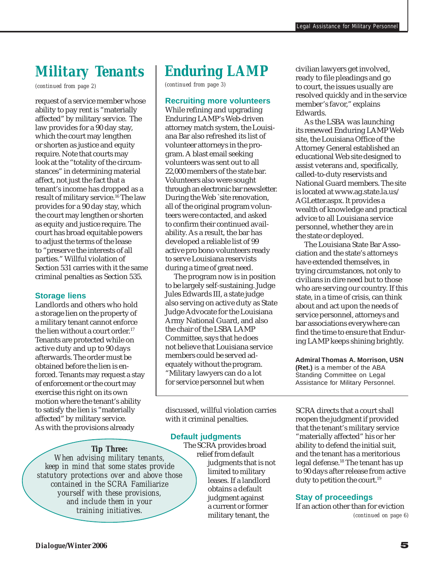## *Military Tenants*

*(continued from page 2)*

request of a service member whose ability to pay rent is "materially affected" by military service. The law provides for a 90 day stay, which the court may lengthen or shorten as justice and equity require. Note that courts may look at the "totality of the circumstances" in determining material affect, not just the fact that a tenant's income has dropped as a result of military service.16 The law provides for a 90 day stay, which the court may lengthen or shorten as equity and justice require. The court has broad equitable powers to adjust the terms of the lease to "preserve the interests of all parties." Willful violation of Section 531 carries with it the same criminal penalties as Section 535.

### **Storage liens**

Landlords and others who hold a storage lien on the property of a military tenant cannot enforce the lien without a court order.<sup>17</sup> Tenants are protected while on active duty and up to 90 days afterwards. The order must be obtained before the lien is enforced. Tenants may request a stay of enforcement or the court may exercise this right on its own motion where the tenant's ability to satisfy the lien is "materially affected" by military service. As with the provisions already

## *Enduring LAMP*

*(continued from page 3)*

### **Recruiting more volunteers**

While refining and upgrading Enduring LAMP's Web-driven attorney match system, the Louisiana Bar also refreshed its list of volunteer attorneys in the program. A blast email seeking volunteers was sent out to all 22,000 members of the state bar. Volunteers also were sought through an electronic bar newsletter. During the Web `site renovation, all of the original program volunteers were contacted, and asked to confirm their continued availability. As a result, the bar has developed a reliable list of 99 active pro bono volunteers ready to serve Louisiana reservists during a time of great need.

The program now is in position to be largely self-sustaining. Judge Jules Edwards III, a state judge also serving on active duty as State Judge Advocate for the Louisiana Army National Guard, and also the chair of the LSBA LAMP Committee, says that he does not believe that Louisiana service members could be served adequately without the program. "Military lawyers can do a lot for service personnel but when

discussed, willful violation carries with it criminal penalties.

### **Default judgments**

*Tip Three:*

*When advising military tenants, keep in mind that some states provide statutory protections over and above those contained in the SCRA Familiarize yourself with these provisions, and include them in your*

The SCRA provides broad relief from default judgments that is not limited to military leases. If a landlord obtains a default judgment against a current or former military tenant, the

civilian lawyers get involved, ready to file pleadings and go to court, the issues usually are resolved quickly and in the service member's favor," explains Edwards.

As the LSBA was launching its renewed Enduring LAMP Web site, the Louisiana Office of the Attorney General established an educational Web site designed to assist veterans and, specifically, called-to-duty reservists and National Guard members. The site is located at www.ag.state.la.us/ AGLetter.aspx. It provides a wealth of knowledge and practical advice to all Louisiana service personnel, whether they are in the state or deployed.

The Louisiana State Bar Association and the state's attorneys have extended themselves, in trying circumstances, not only to civilians in dire need but to those who are serving our country. If this state, in a time of crisis, can think about and act upon the needs of service personnel, attorneys and bar associations everywhere can find the time to ensure that Enduring LAMP keeps shining brightly.

**Admiral Thomas A. Morrison, USN (Ret.)** is a member of the ABA Standing Committee on Legal Assistance for Military Personnel.

SCRA directs that a court shall reopen the judgment if provided that the tenant's military service "materially affected" his or her ability to defend the initial suit, and the tenant has a meritorious legal defense.18 The tenant has up to 90 days after release from active duty to petition the court.<sup>19</sup>

### **Stay of proceedings**

If an action other than for eviction *training initiatives.*<br> *discussion different*  $\alpha$  *current*  $\alpha$  *continued on page 6*)